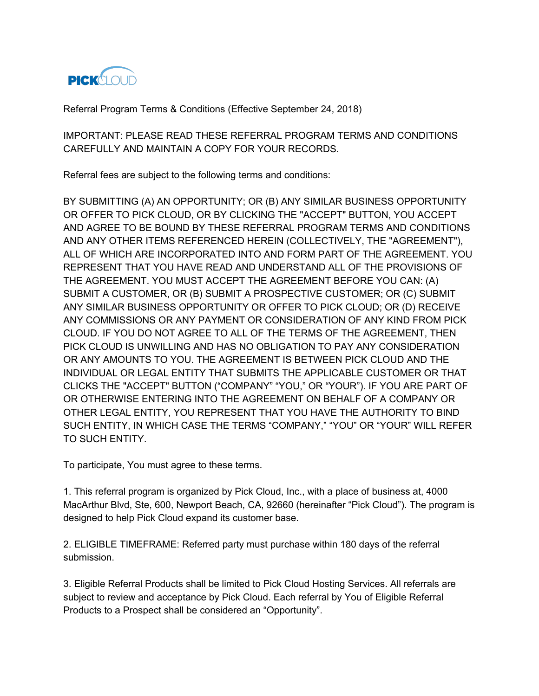

Referral Program Terms & Conditions (Effective September 24, 2018)

IMPORTANT: PLEASE READ THESE REFERRAL PROGRAM TERMS AND CONDITIONS CAREFULLY AND MAINTAIN A COPY FOR YOUR RECORDS.

Referral fees are subject to the following terms and conditions:

BY SUBMITTING (A) AN OPPORTUNITY; OR (B) ANY SIMILAR BUSINESS OPPORTUNITY OR OFFER TO PICK CLOUD, OR BY CLICKING THE "ACCEPT" BUTTON, YOU ACCEPT AND AGREE TO BE BOUND BY THESE REFERRAL PROGRAM TERMS AND CONDITIONS AND ANY OTHER ITEMS REFERENCED HEREIN (COLLECTIVELY, THE "AGREEMENT"), ALL OF WHICH ARE INCORPORATED INTO AND FORM PART OF THE AGREEMENT. YOU REPRESENT THAT YOU HAVE READ AND UNDERSTAND ALL OF THE PROVISIONS OF THE AGREEMENT. YOU MUST ACCEPT THE AGREEMENT BEFORE YOU CAN: (A) SUBMIT A CUSTOMER, OR (B) SUBMIT A PROSPECTIVE CUSTOMER; OR (C) SUBMIT ANY SIMILAR BUSINESS OPPORTUNITY OR OFFER TO PICK CLOUD; OR (D) RECEIVE ANY COMMISSIONS OR ANY PAYMENT OR CONSIDERATION OF ANY KIND FROM PICK CLOUD. IF YOU DO NOT AGREE TO ALL OF THE TERMS OF THE AGREEMENT, THEN PICK CLOUD IS UNWILLING AND HAS NO OBLIGATION TO PAY ANY CONSIDERATION OR ANY AMOUNTS TO YOU. THE AGREEMENT IS BETWEEN PICK CLOUD AND THE INDIVIDUAL OR LEGAL ENTITY THAT SUBMITS THE APPLICABLE CUSTOMER OR THAT CLICKS THE "ACCEPT" BUTTON ("COMPANY" "YOU," OR "YOUR"). IF YOU ARE PART OF OR OTHERWISE ENTERING INTO THE AGREEMENT ON BEHALF OF A COMPANY OR OTHER LEGAL ENTITY, YOU REPRESENT THAT YOU HAVE THE AUTHORITY TO BIND SUCH ENTITY, IN WHICH CASE THE TERMS "COMPANY," "YOU" OR "YOUR" WILL REFER TO SUCH ENTITY.

To participate, You must agree to these terms.

1. This referral program is organized by Pick Cloud, Inc., with a place of business at, 4000 MacArthur Blvd, Ste, 600, Newport Beach, CA, 92660 (hereinafter "Pick Cloud"). The program is designed to help Pick Cloud expand its customer base.

2. ELIGIBLE TIMEFRAME: Referred party must purchase within 180 days of the referral submission.

3. Eligible Referral Products shall be limited to Pick Cloud Hosting Services. All referrals are subject to review and acceptance by Pick Cloud. Each referral by You of Eligible Referral Products to a Prospect shall be considered an "Opportunity".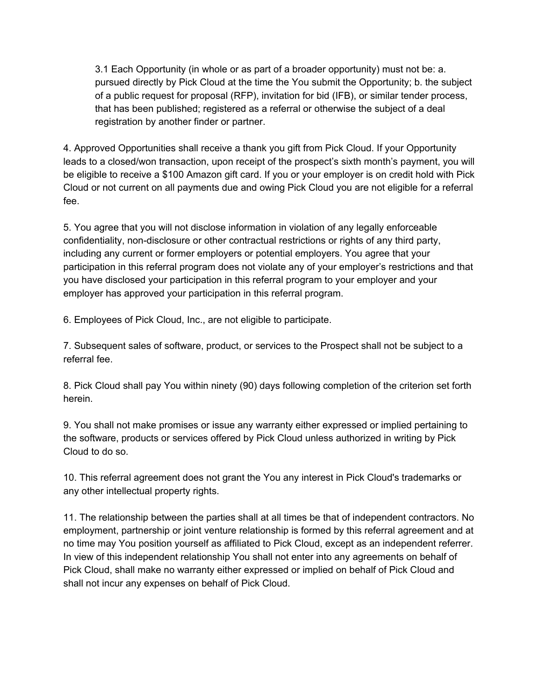3.1 Each Opportunity (in whole or as part of a broader opportunity) must not be: a. pursued directly by Pick Cloud at the time the You submit the Opportunity; b. the subject of a public request for proposal (RFP), invitation for bid (IFB), or similar tender process, that has been published; registered as a referral or otherwise the subject of a deal registration by another finder or partner.

4. Approved Opportunities shall receive a thank you gift from Pick Cloud. If your Opportunity leads to a closed/won transaction, upon receipt of the prospect's sixth month's payment, you will be eligible to receive a \$100 Amazon gift card. If you or your employer is on credit hold with Pick Cloud or not current on all payments due and owing Pick Cloud you are not eligible for a referral fee.

5. You agree that you will not disclose information in violation of any legally enforceable confidentiality, non-disclosure or other contractual restrictions or rights of any third party, including any current or former employers or potential employers. You agree that your participation in this referral program does not violate any of your employer's restrictions and that you have disclosed your participation in this referral program to your employer and your employer has approved your participation in this referral program.

6. Employees of Pick Cloud, Inc., are not eligible to participate.

7. Subsequent sales of software, product, or services to the Prospect shall not be subject to a referral fee.

8. Pick Cloud shall pay You within ninety (90) days following completion of the criterion set forth herein.

9. You shall not make promises or issue any warranty either expressed or implied pertaining to the software, products or services offered by Pick Cloud unless authorized in writing by Pick Cloud to do so.

10. This referral agreement does not grant the You any interest in Pick Cloud's trademarks or any other intellectual property rights.

11. The relationship between the parties shall at all times be that of independent contractors. No employment, partnership or joint venture relationship is formed by this referral agreement and at no time may You position yourself as affiliated to Pick Cloud, except as an independent referrer. In view of this independent relationship You shall not enter into any agreements on behalf of Pick Cloud, shall make no warranty either expressed or implied on behalf of Pick Cloud and shall not incur any expenses on behalf of Pick Cloud.